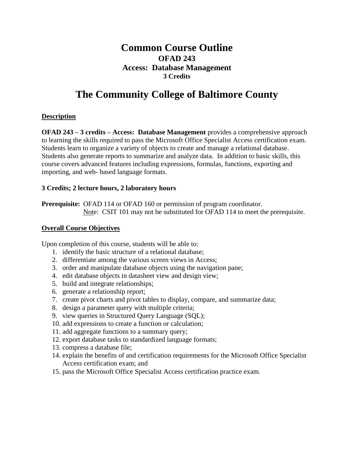## **Common Course Outline OFAD 243 Access: Database Management 3 Credits**

# **The Community College of Baltimore County**

### **Description**

**OFAD 243 – 3 credits – Access: Database Management** provides a comprehensive approach to learning the skills required to pass the Microsoft Office Specialist Access certification exam. Students learn to organize a variety of objects to create and manage a relational database. Students also generate reports to summarize and analyze data. In addition to basic skills, this course covers advanced features including expressions, formulas, functions, exporting and importing, and web- based language formats.

#### **3 Credits; 2 lecture hours, 2 laboratory hours**

**Prerequisite:** OFAD 114 or OFAD 160 or permission of program coordinator. Note: CSIT 101 may not be substituted for OFAD 114 to meet the prerequisite.

#### **Overall Course Objectives**

Upon completion of this course, students will be able to:

- 1. identify the basic structure of a relational database;
- 2. differentiate among the various screen views in Access;
- 3. order and manipulate database objects using the navigation pane;
- 4. edit database objects in datasheet view and design view;
- 5. build and integrate relationships;
- 6. generate a relationship report;
- 7. create pivot charts and pivot tables to display, compare, and summarize data;
- 8. design a parameter query with multiple criteria;
- 9. view queries in Structured Query Language (SQL);
- 10. add expressions to create a function or calculation;
- 11. add aggregate functions to a summary query;
- 12. export database tasks to standardized language formats;
- 13. compress a database file;
- 14. explain the benefits of and certification requirements for the Microsoft Office Specialist Access certification exam; and
- 15. pass the Microsoft Office Specialist Access certification practice exam.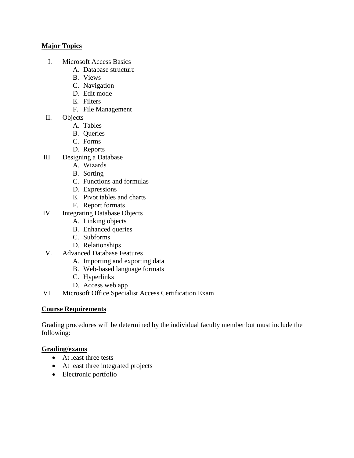#### **Major Topics**

- I. Microsoft Access Basics
	- A. Database structure
	- B. Views
	- C. Navigation
	- D. Edit mode
	- E. Filters
	- F. File Management
- II. Objects
	- A. Tables
	- B. Queries
	- C. Forms
	- D. Reports
- III. Designing a Database
	- A. Wizards
	- B. Sorting
	- C. Functions and formulas
	- D. Expressions
	- E. Pivot tables and charts
	- F. Report formats
- IV. Integrating Database Objects
	- A. Linking objects
	- B. Enhanced queries
	- C. Subforms
	- D. Relationships
- V. Advanced Database Features
	- A. Importing and exporting data
	- B. Web-based language formats
	- C. Hyperlinks
	- D. Access web app
- VI. Microsoft Office Specialist Access Certification Exam

#### **Course Requirements**

Grading procedures will be determined by the individual faculty member but must include the following:

#### **Grading/exams**

- At least three tests
- At least three integrated projects
- Electronic portfolio